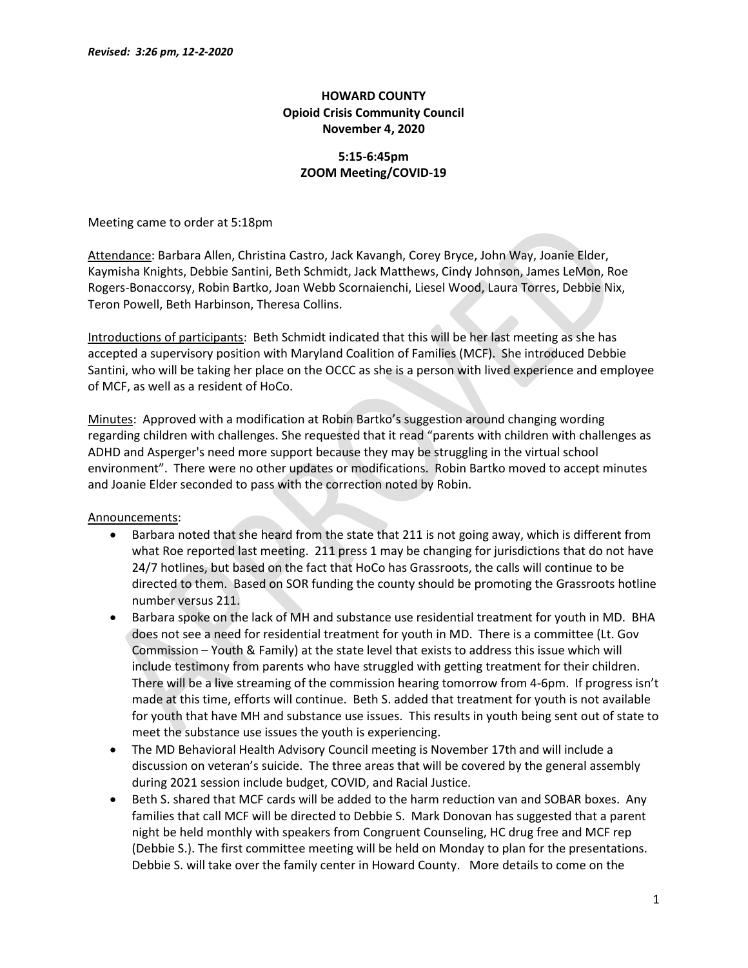# HOWARD COUNTY Opioid Crisis Community Council November 4, 2020

## 5:15-6:45pm ZOOM Meeting/COVID-19

Meeting came to order at 5:18pm

Attendance: Barbara Allen, Christina Castro, Jack Kavangh, Corey Bryce, John Way, Joanie Elder, Kaymisha Knights, Debbie Santini, Beth Schmidt, Jack Matthews, Cindy Johnson, James LeMon, Roe Rogers-Bonaccorsy, Robin Bartko, Joan Webb Scornaienchi, Liesel Wood, Laura Torres, Debbie Nix, Teron Powell, Beth Harbinson, Theresa Collins.

Introductions of participants: Beth Schmidt indicated that this will be her last meeting as she has accepted a supervisory position with Maryland Coalition of Families (MCF). She introduced Debbie Santini, who will be taking her place on the OCCC as she is a person with lived experience and employee of MCF, as well as a resident of HoCo.

Minutes: Approved with a modification at Robin Bartko's suggestion around changing wording regarding children with challenges. She requested that it read "parents with children with challenges as ADHD and Asperger's need more support because they may be struggling in the virtual school environment". There were no other updates or modifications. Robin Bartko moved to accept minutes and Joanie Elder seconded to pass with the correction noted by Robin.

Announcements:

- Barbara noted that she heard from the state that 211 is not going away, which is different from what Roe reported last meeting. 211 press 1 may be changing for jurisdictions that do not have 24/7 hotlines, but based on the fact that HoCo has Grassroots, the calls will continue to be directed to them. Based on SOR funding the county should be promoting the Grassroots hotline number versus 211.
- Barbara spoke on the lack of MH and substance use residential treatment for youth in MD. BHA does not see a need for residential treatment for youth in MD. There is a committee (Lt. Gov Commission – Youth & Family) at the state level that exists to address this issue which will include testimony from parents who have struggled with getting treatment for their children. There will be a live streaming of the commission hearing tomorrow from 4-6pm. If progress isn't made at this time, efforts will continue. Beth S. added that treatment for youth is not available for youth that have MH and substance use issues. This results in youth being sent out of state to meet the substance use issues the youth is experiencing.
- The MD Behavioral Health Advisory Council meeting is November 17th and will include a discussion on veteran's suicide. The three areas that will be covered by the general assembly during 2021 session include budget, COVID, and Racial Justice.
- Beth S. shared that MCF cards will be added to the harm reduction van and SOBAR boxes. Any families that call MCF will be directed to Debbie S. Mark Donovan has suggested that a parent night be held monthly with speakers from Congruent Counseling, HC drug free and MCF rep (Debbie S.). The first committee meeting will be held on Monday to plan for the presentations. Debbie S. will take over the family center in Howard County. More details to come on the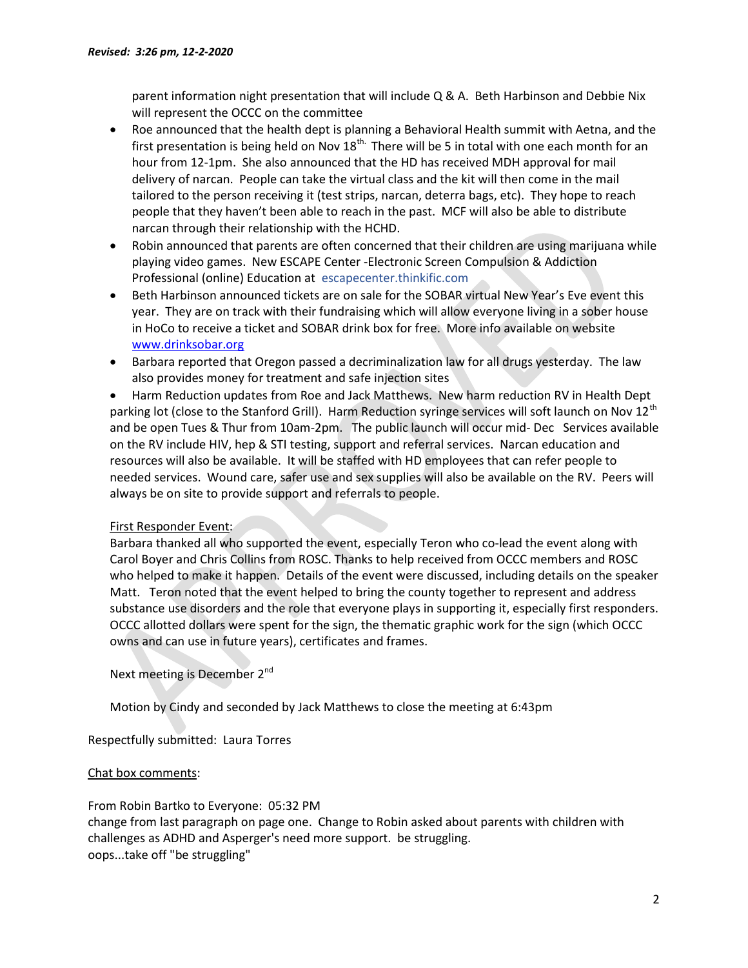parent information night presentation that will include Q & A. Beth Harbinson and Debbie Nix will represent the OCCC on the committee

- Roe announced that the health dept is planning a Behavioral Health summit with Aetna, and the first presentation is being held on Nov  $18<sup>th</sup>$ . There will be 5 in total with one each month for an hour from 12-1pm. She also announced that the HD has received MDH approval for mail delivery of narcan. People can take the virtual class and the kit will then come in the mail tailored to the person receiving it (test strips, narcan, deterra bags, etc). They hope to reach people that they haven't been able to reach in the past. MCF will also be able to distribute narcan through their relationship with the HCHD.
- Robin announced that parents are often concerned that their children are using marijuana while playing video games. New ESCAPE Center -Electronic Screen Compulsion & Addiction Professional (online) Education at escapecenter.thinkific.com
- Beth Harbinson announced tickets are on sale for the SOBAR virtual New Year's Eve event this year. They are on track with their fundraising which will allow everyone living in a sober house in HoCo to receive a ticket and SOBAR drink box for free. More info available on website www.drinksobar.org
- Barbara reported that Oregon passed a decriminalization law for all drugs yesterday. The law also provides money for treatment and safe injection sites

 Harm Reduction updates from Roe and Jack Matthews. New harm reduction RV in Health Dept parking lot (close to the Stanford Grill). Harm Reduction syringe services will soft launch on Nov 12<sup>th</sup> and be open Tues & Thur from 10am-2pm. The public launch will occur mid- Dec Services available on the RV include HIV, hep & STI testing, support and referral services. Narcan education and resources will also be available. It will be staffed with HD employees that can refer people to needed services. Wound care, safer use and sex supplies will also be available on the RV. Peers will always be on site to provide support and referrals to people.

## First Responder Event:

Barbara thanked all who supported the event, especially Teron who co-lead the event along with Carol Boyer and Chris Collins from ROSC. Thanks to help received from OCCC members and ROSC who helped to make it happen. Details of the event were discussed, including details on the speaker Matt. Teron noted that the event helped to bring the county together to represent and address substance use disorders and the role that everyone plays in supporting it, especially first responders. OCCC allotted dollars were spent for the sign, the thematic graphic work for the sign (which OCCC owns and can use in future years), certificates and frames.

Next meeting is December 2<sup>nd</sup>

Motion by Cindy and seconded by Jack Matthews to close the meeting at 6:43pm

Respectfully submitted: Laura Torres

## Chat box comments:

From Robin Bartko to Everyone: 05:32 PM

change from last paragraph on page one. Change to Robin asked about parents with children with challenges as ADHD and Asperger's need more support. be struggling. oops...take off "be struggling"